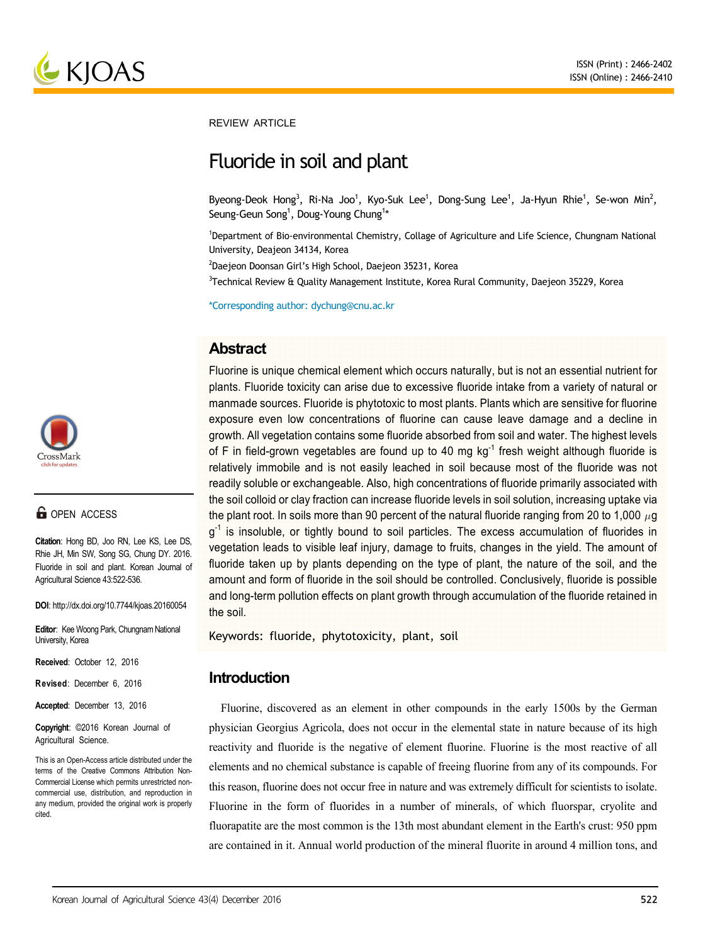

**REVIEW ARTICLE** 

# Fluoride in soil and plant

Byeong-Deok Hong<sup>3</sup>, Ri-Na Joo<sup>1</sup>, Kyo-Suk Lee<sup>1</sup>, Dong-Sung Lee<sup>1</sup>, Ja-Hyun Rhie<sup>1</sup>, Se-won Min<sup>2</sup>, Seung-Geun Song<sup>1</sup>, Doug-Young Chung<sup>1\*</sup>

1 Department of Bio-environmental Chemistry, Collage of Agriculture and Life Science, Chungnam National University, Deajeon 34134, Korea

2 Daejeon Doonsan Girl's High School, Daejeon 35231, Korea

<sup>3</sup>Technical Review & Quality Management Institute, Korea Rural Community, Daejeon 35229, Korea

\*Corresponding author: dychung@cnu.ac.kr

# **Abstract**

Fluorine is unique chemical element which occurs naturally, but is not an essential nutrient for plants. Fluoride toxicity can arise due to excessive fluoride intake from a variety of natural or manmade sources. Fluoride is phytotoxic to most plants. Plants which are sensitive for fluorine exposure even low concentrations of fluorine can cause leave damage and a decline in growth. All vegetation contains some fluoride absorbed from soil and water. The highest levels of F in field-grown vegetables are found up to 40 mg  $kq^{-1}$  fresh weight although fluoride is relatively immobile and is not easily leached in soil because most of the fluoride was not readily soluble or exchangeable. Also, high concentrations of fluoride primarily associated with the soil colloid or clay fraction can increase fluoride levels in soil solution, increasing uptake via the plant root. In soils more than 90 percent of the natural fluoride ranging from 20 to 1,000  $\mu$ g  $q^{-1}$  is insoluble, or tightly bound to soil particles. The excess accumulation of fluorides in vegetation leads to visible leaf injury, damage to fruits, changes in the yield. The amount of fluoride taken up by plants depending on the type of plant, the nature of the soil, and the amount and form of fluoride in the soil should be controlled. Conclusively, fluoride is possible and long-term pollution effects on plant growth through accumulation of the fluoride retained in the soil.

Keywords: fluoride, phytotoxicity, plant, soil

# **Introduction**

Fluorine, discovered as an element in other compounds in the early 1500s by the German physician Georgius Agricola, does not occur in the elemental state in nature because of its high reactivity and fluoride is the negative of element fluorine. Fluorine is the most reactive of all elements and no chemical substance is capable of freeing fluorine from any of its compounds. For this reason, fluorine does not occur free in nature and was extremely difficult for scientists to isolate. Fluorine in the form of fluorides in a number of minerals, of which fluorspar, cryolite and fluorapatite are the most common is the 13th most abundant element in the Earth's crust: 950 ppm are contained in it. Annual world production of the mineral fluorite in around 4 million tons, and



# **G** OPEN ACCESS

**Citation**: Hong BD, Joo RN, Lee KS, Lee DS, Rhie JH, Min SW, Song SG, Chung DY. 2016. Fluoride in soil and plant. Korean Journal of Agricultural Science 43:522-536.

**DOI**: http://dx.doi.org/10.7744/kjoas.20160054

**Editor**: Kee Woong Park, Chungnam National University, Korea

**Received**: October 12, 2016

**Revised**: December 6, 2016

**Accepted**: December 13, 2016

**Copyright**: ©2016 Korean Journal of Agricultural Science.

This is an Open-Access article distributed under the terms of the Creative Commons Attribution Non-Commercial License which permits unrestricted noncommercial use, distribution, and reproduction in any medium, provided the original work is properly cited.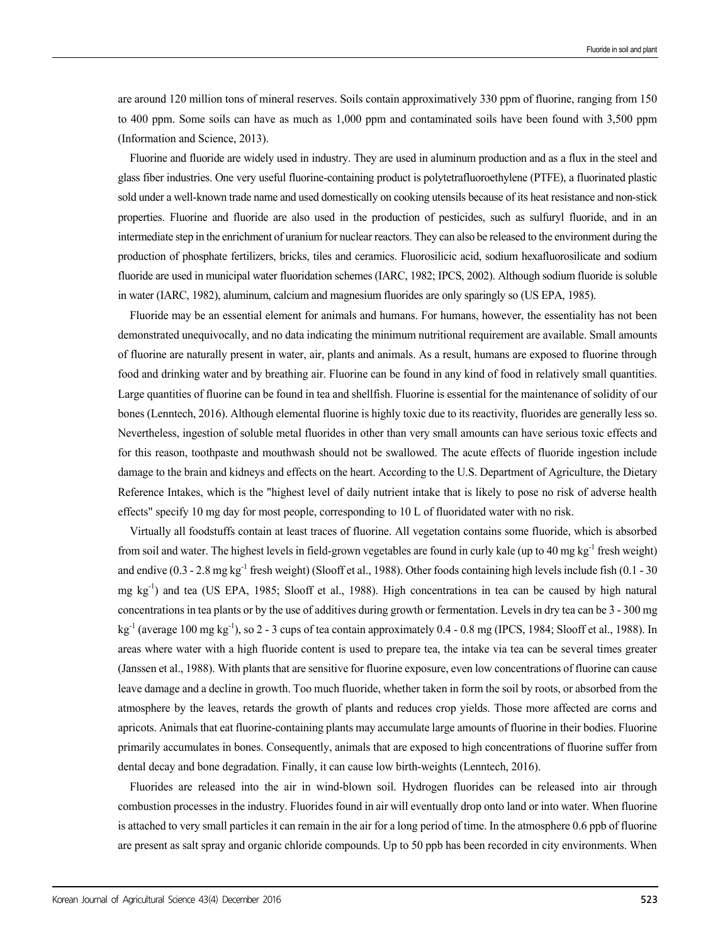are around 120 million tons of mineral reserves. Soils contain approximatively 330 ppm of fluorine, ranging from 150 to 400 ppm. Some soils can have as much as 1,000 ppm and contaminated soils have been found with 3,500 ppm (Information and Science, 2013).

Fluorine and fluoride are widely used in industry. They are used in aluminum production and as a flux in the steel and glass fiber industries. One very useful fluorine-containing product is polytetrafluoroethylene (PTFE), a fluorinated plastic sold under a well-known trade name and used domestically on cooking utensils because of its heat resistance and non-stick properties. Fluorine and fluoride are also used in the production of pesticides, such as sulfuryl fluoride, and in an intermediate step in the enrichment of uranium for nuclear reactors. They can also be released to the environment during the production of phosphate fertilizers, bricks, tiles and ceramics. Fluorosilicic acid, sodium hexafluorosilicate and sodium fluoride are used in municipal water fluoridation schemes (IARC, 1982; IPCS, 2002). Although sodium fluoride is soluble in water (IARC, 1982), aluminum, calcium and magnesium fluorides are only sparingly so (US EPA, 1985).

Fluoride may be an essential element for animals and humans. For humans, however, the essentiality has not been demonstrated unequivocally, and no data indicating the minimum nutritional requirement are available. Small amounts of fluorine are naturally present in water, air, plants and animals. As a result, humans are exposed to fluorine through food and drinking water and by breathing air. Fluorine can be found in any kind of food in relatively small quantities. Large quantities of fluorine can be found in tea and shellfish. Fluorine is essential for the maintenance of solidity of our bones (Lenntech, 2016). Although elemental fluorine is highly toxic due to its reactivity, fluorides are generally less so. Nevertheless, ingestion of soluble metal fluorides in other than very small amounts can have serious toxic effects and for this reason, toothpaste and mouthwash should not be swallowed. The acute effects of fluoride ingestion include damage to the brain and kidneys and effects on the heart. According to the U.S. Department of Agriculture, the Dietary Reference Intakes, which is the "highest level of daily nutrient intake that is likely to pose no risk of adverse health effects" specify 10 mg day for most people, corresponding to 10 L of fluoridated water with no risk.

Virtually all foodstuffs contain at least traces of fluorine. All vegetation contains some fluoride, which is absorbed from soil and water. The highest levels in field-grown vegetables are found in curly kale (up to 40 mg kg<sup>-1</sup> fresh weight) and endive  $(0.3 - 2.8 \text{ mg kg}^{-1})$  fresh weight) (Slooff et al., 1988). Other foods containing high levels include fish  $(0.1 - 30$ mg kg-1) and tea (US EPA, 1985; Slooff et al., 1988). High concentrations in tea can be caused by high natural concentrations in tea plants or by the use of additives during growth or fermentation. Levels in dry tea can be 3 - 300 mg  $kg<sup>-1</sup>$  (average 100 mg kg<sup>-1</sup>), so 2 - 3 cups of tea contain approximately 0.4 - 0.8 mg (IPCS, 1984; Slooff et al., 1988). In areas where water with a high fluoride content is used to prepare tea, the intake via tea can be several times greater (Janssen et al., 1988). With plants that are sensitive for fluorine exposure, even low concentrations of fluorine can cause leave damage and a decline in growth. Too much fluoride, whether taken in form the soil by roots, or absorbed from the atmosphere by the leaves, retards the growth of plants and reduces crop yields. Those more affected are corns and apricots. Animals that eat fluorine-containing plants may accumulate large amounts of fluorine in their bodies. Fluorine primarily accumulates in bones. Consequently, animals that are exposed to high concentrations of fluorine suffer from dental decay and bone degradation. Finally, it can cause low birth-weights (Lenntech, 2016).

Fluorides are released into the air in wind-blown soil. Hydrogen fluorides can be released into air through combustion processes in the industry. Fluorides found in air will eventually drop onto land or into water. When fluorine is attached to very small particles it can remain in the air for a long period of time. In the atmosphere 0.6 ppb of fluorine are present as salt spray and organic chloride compounds. Up to 50 ppb has been recorded in city environments. When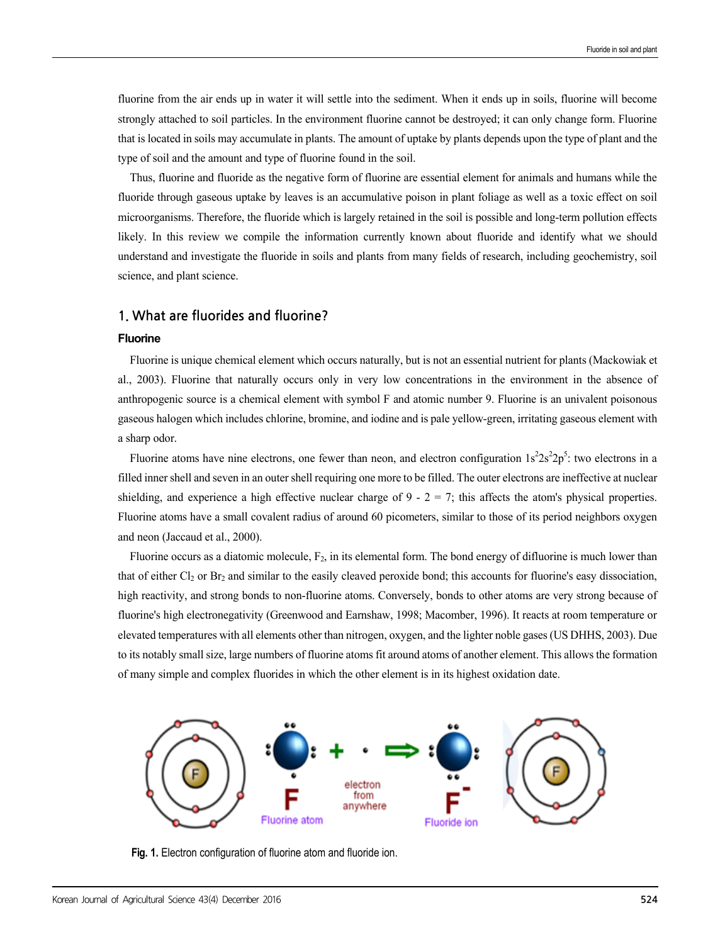fluorine from the air ends up in water it will settle into the sediment. When it ends up in soils, fluorine will become strongly attached to soil particles. In the environment fluorine cannot be destroyed; it can only change form. Fluorine that is located in soils may accumulate in plants. The amount of uptake by plants depends upon the type of plant and the type of soil and the amount and type of fluorine found in the soil.

Thus, fluorine and fluoride as the negative form of fluorine are essential element for animals and humans while the fluoride through gaseous uptake by leaves is an accumulative poison in plant foliage as well as a toxic effect on soil microorganisms. Therefore, the fluoride which is largely retained in the soil is possible and long-term pollution effects likely. In this review we compile the information currently known about fluoride and identify what we should understand and investigate the fluoride in soils and plants from many fields of research, including geochemistry, soil science, and plant science.

### **1. What are fluorides and fluorine?**

#### **Fluorine**

Fluorine is unique chemical element which occurs naturally, but is not an essential nutrient for plants (Mackowiak et al., 2003). Fluorine that naturally occurs only in very low concentrations in the environment in the absence of anthropogenic source is a chemical element with symbol F and atomic number 9. Fluorine is an univalent poisonous gaseous halogen which includes chlorine, bromine, and iodine and is pale yellow-green, irritating gaseous element with a sharp odor.

Fluorine atoms have nine electrons, one fewer than neon, and electron configuration  $1s^22s^22p^5$ : two electrons in a filled inner shell and seven in an outer shell requiring one more to be filled. The outer electrons are ineffective at nuclear shielding, and experience a high effective nuclear charge of  $9 - 2 = 7$ ; this affects the atom's physical properties. Fluorine atoms have a small covalent radius of around 60 picometers, similar to those of its period neighbors oxygen and neon (Jaccaud et al., 2000).

Fluorine occurs as a diatomic molecule,  $F_2$ , in its elemental form. The bond energy of difluorine is much lower than that of either  $Cl_2$  or  $Br_2$  and similar to the easily cleaved peroxide bond; this accounts for fluorine's easy dissociation, high reactivity, and strong bonds to non-fluorine atoms. Conversely, bonds to other atoms are very strong because of fluorine's high electronegativity (Greenwood and Earnshaw, 1998; Macomber, 1996). It reacts at room temperature or elevated temperatures with all elements other than nitrogen, oxygen, and the lighter noble gases (US DHHS, 2003). Due to its notably small size, large numbers of fluorine atoms fit around atoms of another element. This allows the formation of many simple and complex fluorides in which the other element is in its highest oxidation date.



**Fig. 1.** Electron configuration of fluorine atom and fluoride ion.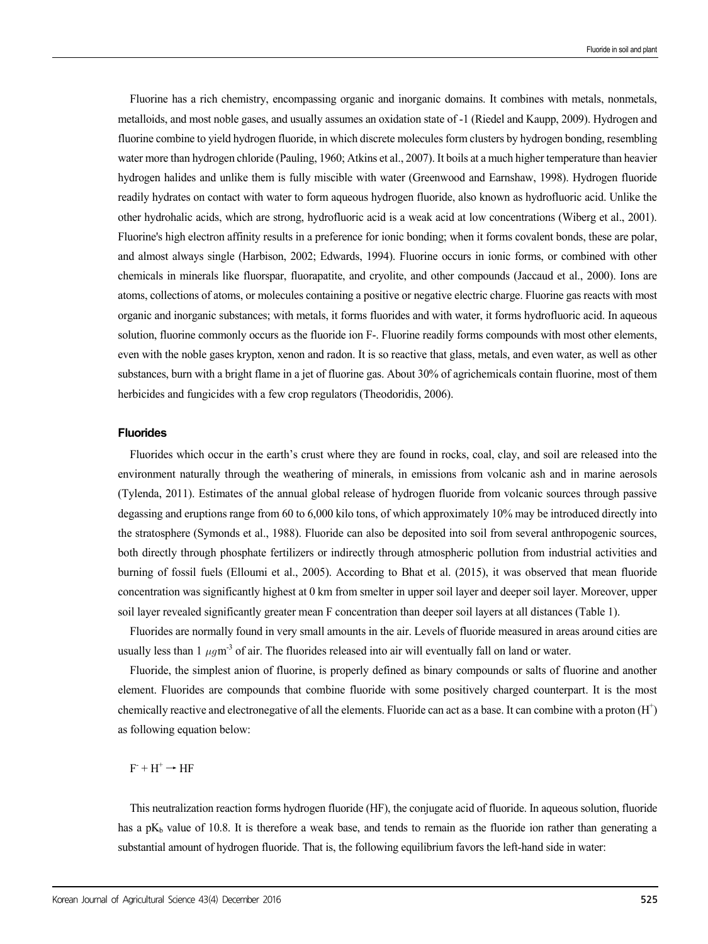Fluorine has a rich chemistry, encompassing organic and inorganic domains. It combines with metals, nonmetals, metalloids, and most noble gases, and usually assumes an oxidation state of -1 (Riedel and Kaupp, 2009). Hydrogen and fluorine combine to yield hydrogen fluoride, in which discrete molecules form clusters by hydrogen bonding, resembling water more than hydrogen chloride (Pauling, 1960; Atkins et al., 2007). It boils at a much higher temperature than heavier hydrogen halides and unlike them is fully miscible with water (Greenwood and Earnshaw, 1998). Hydrogen fluoride readily hydrates on contact with water to form aqueous hydrogen fluoride, also known as hydrofluoric acid. Unlike the other hydrohalic acids, which are strong, hydrofluoric acid is a weak acid at low concentrations (Wiberg et al., 2001). Fluorine's high electron affinity results in a preference for ionic bonding; when it forms covalent bonds, these are polar, and almost always single (Harbison, 2002; Edwards, 1994). Fluorine occurs in ionic forms, or combined with other chemicals in minerals like fluorspar, fluorapatite, and cryolite, and other compounds (Jaccaud et al., 2000). Ions are atoms, collections of atoms, or molecules containing a positive or negative electric charge. Fluorine gas reacts with most organic and inorganic substances; with metals, it forms fluorides and with water, it forms hydrofluoric acid. In aqueous solution, fluorine commonly occurs as the fluoride ion F-. Fluorine readily forms compounds with most other elements, even with the noble gases krypton, xenon and radon. It is so reactive that glass, metals, and even water, as well as other substances, burn with a bright flame in a jet of fluorine gas. About 30% of agrichemicals contain fluorine, most of them herbicides and fungicides with a few crop regulators (Theodoridis, 2006).

#### **Fluorides**

Fluorides which occur in the earth's crust where they are found in rocks, coal, clay, and soil are released into the environment naturally through the weathering of minerals, in emissions from volcanic ash and in marine aerosols (Tylenda, 2011). Estimates of the annual global release of hydrogen fluoride from volcanic sources through passive degassing and eruptions range from 60 to 6,000 kilo tons, of which approximately 10% may be introduced directly into the stratosphere (Symonds et al., 1988). Fluoride can also be deposited into soil from several anthropogenic sources, both directly through phosphate fertilizers or indirectly through atmospheric pollution from industrial activities and burning of fossil fuels (Elloumi et al., 2005). According to Bhat et al. (2015), it was observed that mean fluoride concentration was significantly highest at 0 km from smelter in upper soil layer and deeper soil layer. Moreover, upper soil layer revealed significantly greater mean F concentration than deeper soil layers at all distances (Table 1).

Fluorides are normally found in very small amounts in the air. Levels of fluoride measured in areas around cities are usually less than 1  $\mu q m^{-3}$  of air. The fluorides released into air will eventually fall on land or water.

Fluoride, the simplest anion of fluorine, is properly defined as binary compounds or salts of fluorine and another element. Fluorides are compounds that combine fluoride with some positively charged counterpart. It is the most chemically reactive and electronegative of all the elements. Fluoride can act as a base. It can combine with a proton (H<sup>+</sup>) as following equation below:

 $F + H^+ \rightarrow HF$ 

This neutralization reaction forms hydrogen fluoride (HF), the conjugate acid of fluoride. In aqueous solution, fluoride has a pK<sub>b</sub> value of 10.8. It is therefore a weak base, and tends to remain as the fluoride ion rather than generating a substantial amount of hydrogen fluoride. That is, the following equilibrium favors the left-hand side in water: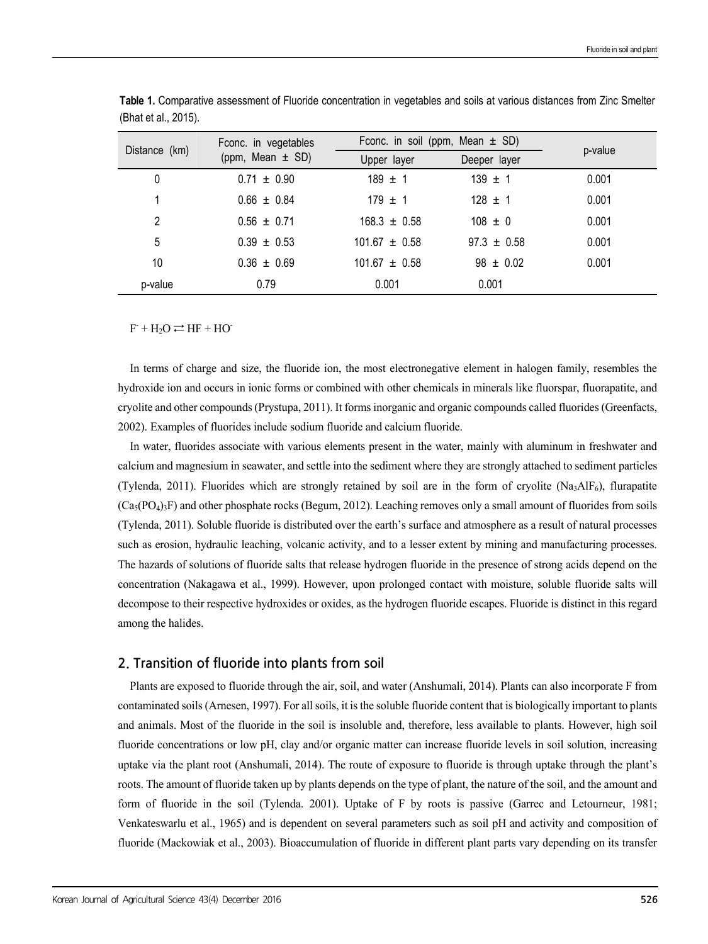| Distance (km) | Fconc. in vegetables<br>(ppm, Mean $\pm$ SD) | Fconc. in soil (ppm, Mean $\pm$ SD) |                 | p-value |
|---------------|----------------------------------------------|-------------------------------------|-----------------|---------|
|               |                                              | Upper layer                         | Deeper layer    |         |
| 0             | $0.71 \pm 0.90$                              | $189 \pm 1$                         | $139 \pm 1$     | 0.001   |
|               | $0.66 \pm 0.84$                              | $179 \pm 1$                         | $128 \pm 1$     | 0.001   |
| 2             | $0.56 \pm 0.71$                              | $168.3 \pm 0.58$                    | $108 \pm 0$     | 0.001   |
| 5             | $0.39 \pm 0.53$                              | $101.67 \pm 0.58$                   | $97.3 \pm 0.58$ | 0.001   |
| 10            | $0.36 \pm 0.69$                              | $101.67 \pm 0.58$                   | $98 \pm 0.02$   | 0.001   |
| p-value       | 0.79                                         | 0.001                               | 0.001           |         |

**Table 1.** Comparative assessment of Fluoride concentration in vegetables and soils at various distances from Zinc Smelter (Bhat et al., 2015).

 $F$  + H<sub>2</sub>O  $\rightleftharpoons$  HF + HO

In terms of charge and size, the fluoride ion, the most electronegative element in halogen family, resembles the hydroxide ion and occurs in ionic forms or combined with other chemicals in minerals like fluorspar, fluorapatite, and cryolite and other compounds (Prystupa, 2011). It forms inorganic and organic compounds called fluorides (Greenfacts, 2002). Examples of fluorides include sodium fluoride and calcium fluoride.

In water, fluorides associate with various elements present in the water, mainly with aluminum in freshwater and calcium and magnesium in seawater, and settle into the sediment where they are strongly attached to sediment particles (Tylenda, 2011). Fluorides which are strongly retained by soil are in the form of cryolite ( $N_{a3}AlF_6$ ), flurapatite  $(Ca<sub>5</sub>(PO<sub>4</sub>)<sub>3</sub>F)$  and other phosphate rocks (Begum, 2012). Leaching removes only a small amount of fluorides from soils (Tylenda, 2011). Soluble fluoride is distributed over the earth's surface and atmosphere as a result of natural processes such as erosion, hydraulic leaching, volcanic activity, and to a lesser extent by mining and manufacturing processes. The hazards of solutions of fluoride salts that release hydrogen fluoride in the presence of strong acids depend on the concentration (Nakagawa et al., 1999). However, upon prolonged contact with moisture, soluble fluoride salts will decompose to their respective hydroxides or oxides, as the hydrogen fluoride escapes. Fluoride is distinct in this regard among the halides.

### **2. Transition of fluoride into plants from soil**

Plants are exposed to fluoride through the air, soil, and water (Anshumali, 2014). Plants can also incorporate F from contaminated soils (Arnesen, 1997). For all soils, it is the soluble fluoride content that is biologically important to plants and animals. Most of the fluoride in the soil is insoluble and, therefore, less available to plants. However, high soil fluoride concentrations or low pH, clay and/or organic matter can increase fluoride levels in soil solution, increasing uptake via the plant root (Anshumali, 2014). The route of exposure to fluoride is through uptake through the plant's roots. The amount of fluoride taken up by plants depends on the type of plant, the nature of the soil, and the amount and form of fluoride in the soil (Tylenda. 2001). Uptake of F by roots is passive (Garrec and Letourneur, 1981; Venkateswarlu et al., 1965) and is dependent on several parameters such as soil pH and activity and composition of fluoride (Mackowiak et al., 2003). Bioaccumulation of fluoride in different plant parts vary depending on its transfer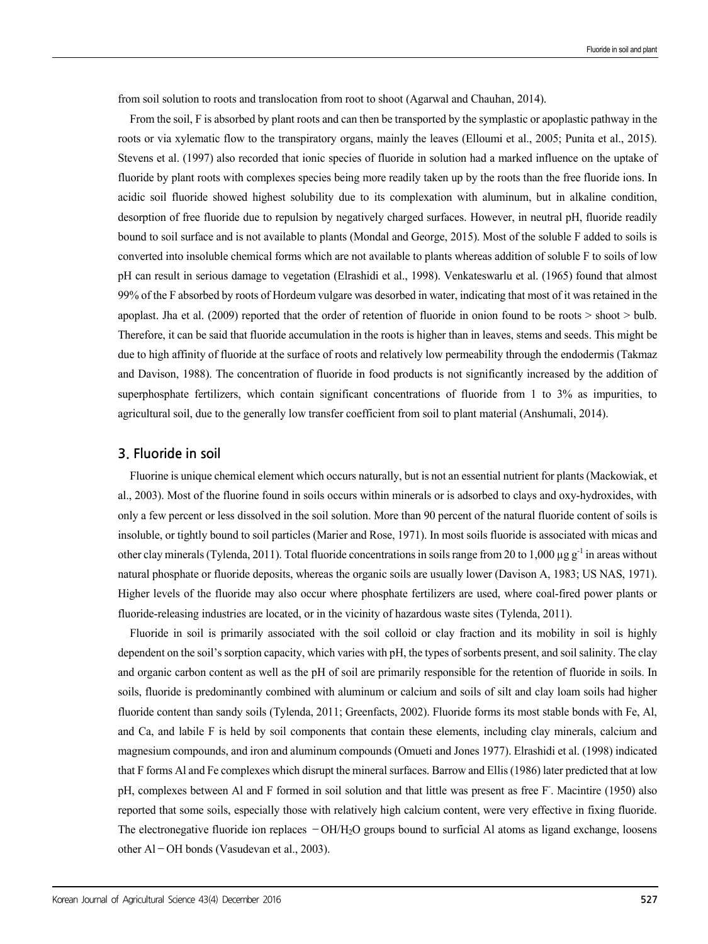from soil solution to roots and translocation from root to shoot (Agarwal and Chauhan, 2014).

From the soil, F is absorbed by plant roots and can then be transported by the symplastic or apoplastic pathway in the roots or via xylematic flow to the transpiratory organs, mainly the leaves (Elloumi et al., 2005; Punita et al., 2015). Stevens et al. (1997) also recorded that ionic species of fluoride in solution had a marked influence on the uptake of fluoride by plant roots with complexes species being more readily taken up by the roots than the free fluoride ions. In acidic soil fluoride showed highest solubility due to its complexation with aluminum, but in alkaline condition, desorption of free fluoride due to repulsion by negatively charged surfaces. However, in neutral pH, fluoride readily bound to soil surface and is not available to plants (Mondal and George, 2015). Most of the soluble F added to soils is converted into insoluble chemical forms which are not available to plants whereas addition of soluble F to soils of low pH can result in serious damage to vegetation (Elrashidi et al., 1998). Venkateswarlu et al. (1965) found that almost 99% of the F absorbed by roots of Hordeum vulgare was desorbed in water, indicating that most of it was retained in the apoplast. Jha et al. (2009) reported that the order of retention of fluoride in onion found to be roots > shoot > bulb. Therefore, it can be said that fluoride accumulation in the roots is higher than in leaves, stems and seeds. This might be due to high affinity of fluoride at the surface of roots and relatively low permeability through the endodermis (Takmaz and Davison, 1988). The concentration of fluoride in food products is not significantly increased by the addition of superphosphate fertilizers, which contain significant concentrations of fluoride from 1 to 3% as impurities, to agricultural soil, due to the generally low transfer coefficient from soil to plant material (Anshumali, 2014).

#### **3. Fluoride in soil**

Fluorine is unique chemical element which occurs naturally, but is not an essential nutrient for plants (Mackowiak, et al., 2003). Most of the fluorine found in soils occurs within minerals or is adsorbed to clays and oxy-hydroxides, with only a few percent or less dissolved in the soil solution. More than 90 percent of the natural fluoride content of soils is insoluble, or tightly bound to soil particles (Marier and Rose, 1971). In most soils fluoride is associated with micas and other clay minerals (Tylenda, 2011). Total fluoride concentrations in soils range from 20 to 1,000  $\mu$ g g<sup>-1</sup> in areas without natural phosphate or fluoride deposits, whereas the organic soils are usually lower (Davison A, 1983; US NAS, 1971). Higher levels of the fluoride may also occur where phosphate fertilizers are used, where coal-fired power plants or fluoride-releasing industries are located, or in the vicinity of hazardous waste sites (Tylenda, 2011).

Fluoride in soil is primarily associated with the soil colloid or clay fraction and its mobility in soil is highly dependent on the soil's sorption capacity, which varies with pH, the types of sorbents present, and soil salinity. The clay and organic carbon content as well as the pH of soil are primarily responsible for the retention of fluoride in soils. In soils, fluoride is predominantly combined with aluminum or calcium and soils of silt and clay loam soils had higher fluoride content than sandy soils (Tylenda, 2011; Greenfacts, 2002). Fluoride forms its most stable bonds with Fe, Al, and Ca, and labile F is held by soil components that contain these elements, including clay minerals, calcium and magnesium compounds, and iron and aluminum compounds (Omueti and Jones 1977). Elrashidi et al. (1998) indicated that F forms Al and Fe complexes which disrupt the mineral surfaces. Barrow and Ellis (1986) later predicted that at low pH, complexes between Al and F formed in soil solution and that little was present as free F. Macintire (1950) also reported that some soils, especially those with relatively high calcium content, were very effective in fixing fluoride. The electronegative fluoride ion replaces  $-OH/H<sub>2</sub>O$  groups bound to surficial Al atoms as ligand exchange, loosens other Al–OH bonds (Vasudevan et al., 2003).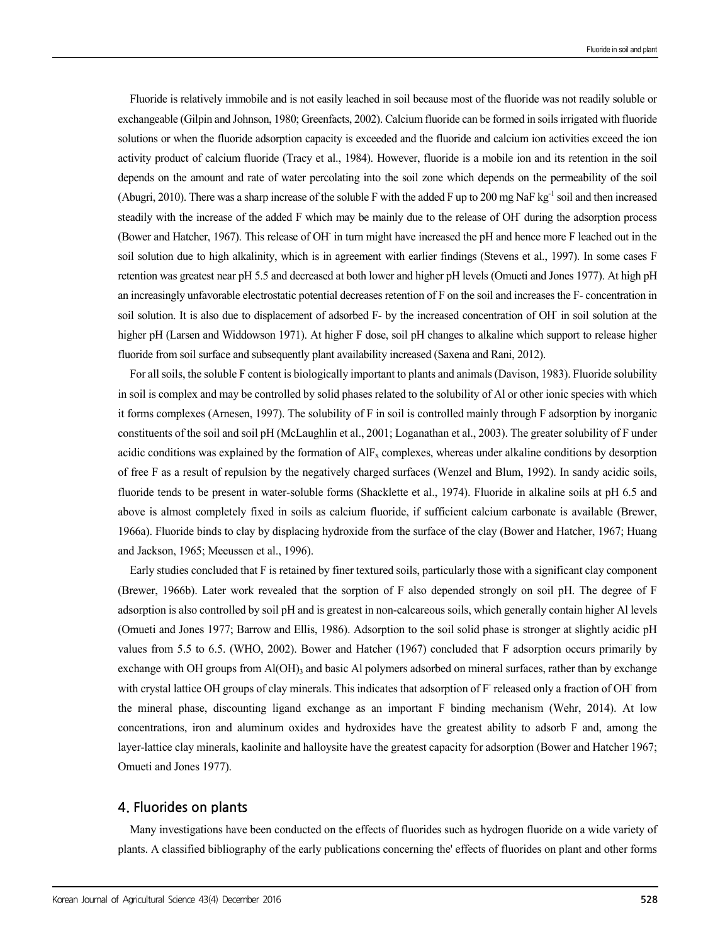Fluoride is relatively immobile and is not easily leached in soil because most of the fluoride was not readily soluble or exchangeable (Gilpin and Johnson, 1980; Greenfacts, 2002). Calcium fluoride can be formed in soils irrigated with fluoride solutions or when the fluoride adsorption capacity is exceeded and the fluoride and calcium ion activities exceed the ion activity product of calcium fluoride (Tracy et al., 1984). However, fluoride is a mobile ion and its retention in the soil depends on the amount and rate of water percolating into the soil zone which depends on the permeability of the soil (Abugri, 2010). There was a sharp increase of the soluble F with the added F up to 200 mg NaF kg<sup>-1</sup> soil and then increased steadily with the increase of the added F which may be mainly due to the release of OH during the adsorption process (Bower and Hatcher, 1967). This release of OH in turn might have increased the pH and hence more F leached out in the soil solution due to high alkalinity, which is in agreement with earlier findings (Stevens et al., 1997). In some cases F retention was greatest near pH 5.5 and decreased at both lower and higher pH levels (Omueti and Jones 1977). At high pH an increasingly unfavorable electrostatic potential decreases retention of F on the soil and increases the F- concentration in soil solution. It is also due to displacement of adsorbed F- by the increased concentration of OH in soil solution at the higher pH (Larsen and Widdowson 1971). At higher F dose, soil pH changes to alkaline which support to release higher fluoride from soil surface and subsequently plant availability increased (Saxena and Rani, 2012).

For all soils, the soluble F content is biologically important to plants and animals (Davison, 1983). Fluoride solubility in soil is complex and may be controlled by solid phases related to the solubility of Al or other ionic species with which it forms complexes (Arnesen, 1997). The solubility of F in soil is controlled mainly through F adsorption by inorganic constituents of the soil and soil pH (McLaughlin et al., 2001; Loganathan et al., 2003). The greater solubility of F under acidic conditions was explained by the formation of AIF<sub>x</sub> complexes, whereas under alkaline conditions by desorption of free F as a result of repulsion by the negatively charged surfaces (Wenzel and Blum, 1992). In sandy acidic soils, fluoride tends to be present in water-soluble forms (Shacklette et al., 1974). Fluoride in alkaline soils at pH 6.5 and above is almost completely fixed in soils as calcium fluoride, if sufficient calcium carbonate is available (Brewer, 1966a). Fluoride binds to clay by displacing hydroxide from the surface of the clay (Bower and Hatcher, 1967; Huang and Jackson, 1965; Meeussen et al., 1996).

Early studies concluded that F is retained by finer textured soils, particularly those with a significant clay component (Brewer, 1966b). Later work revealed that the sorption of F also depended strongly on soil pH. The degree of F adsorption is also controlled by soil pH and is greatest in non-calcareous soils, which generally contain higher Al levels (Omueti and Jones 1977; Barrow and Ellis, 1986). Adsorption to the soil solid phase is stronger at slightly acidic pH values from 5.5 to 6.5. (WHO, 2002). Bower and Hatcher (1967) concluded that F adsorption occurs primarily by exchange with OH groups from Al(OH)<sub>3</sub> and basic Al polymers adsorbed on mineral surfaces, rather than by exchange with crystal lattice OH groups of clay minerals. This indicates that adsorption of F released only a fraction of OH from the mineral phase, discounting ligand exchange as an important F binding mechanism (Wehr, 2014). At low concentrations, iron and aluminum oxides and hydroxides have the greatest ability to adsorb F and, among the layer-lattice clay minerals, kaolinite and halloysite have the greatest capacity for adsorption (Bower and Hatcher 1967; Omueti and Jones 1977).

#### **4. Fluorides on plants**

Many investigations have been conducted on the effects of fluorides such as hydrogen fluoride on a wide variety of plants. A classified bibliography of the early publications concerning the' effects of fluorides on plant and other forms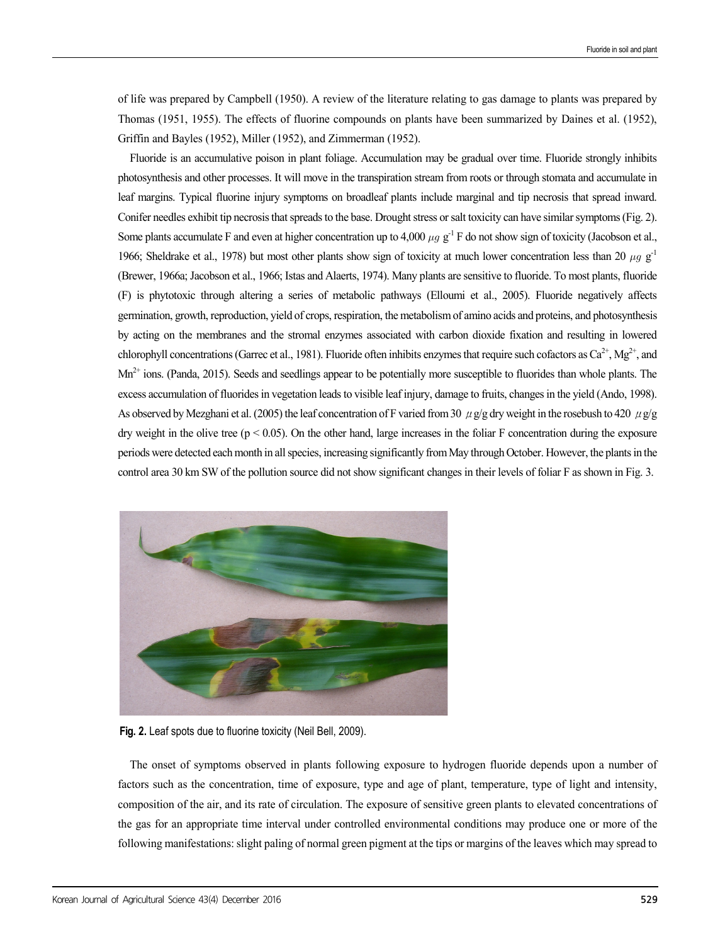of life was prepared by Campbell (1950). A review of the literature relating to gas damage to plants was prepared by Thomas (1951, 1955). The effects of fluorine compounds on plants have been summarized by Daines et al. (1952), Griffin and Bayles (1952), Miller (1952), and Zimmerman (1952).

Fluoride is an accumulative poison in plant foliage. Accumulation may be gradual over time. Fluoride strongly inhibits photosynthesis and other processes. It will move in the transpiration stream from roots or through stomata and accumulate in leaf margins. Typical fluorine injury symptoms on broadleaf plants include marginal and tip necrosis that spread inward. Conifer needles exhibit tip necrosis that spreads to the base. Drought stress or salt toxicity can have similar symptoms (Fig. 2). Some plants accumulate F and even at higher concentration up to 4,000  $\mu$ g g<sup>-1</sup> F do not show sign of toxicity (Jacobson et al., 1966; Sheldrake et al., 1978) but most other plants show sign of toxicity at much lower concentration less than 20  $\mu$ g g<sup>-1</sup> (Brewer, 1966a; Jacobson et al., 1966; Istas and Alaerts, 1974). Many plants are sensitive to fluoride. To most plants, fluoride (F) is phytotoxic through altering a series of metabolic pathways (Elloumi et al., 2005). Fluoride negatively affects germination, growth, reproduction, yield of crops, respiration, the metabolism of amino acids and proteins, and photosynthesis by acting on the membranes and the stromal enzymes associated with carbon dioxide fixation and resulting in lowered chlorophyll concentrations (Garrec et al., 1981). Fluoride often inhibits enzymes that require such cofactors as  $Ca^{2+}$ , Mg<sup>2+</sup>, and  $Mn^{2+}$  ions. (Panda, 2015). Seeds and seedlings appear to be potentially more susceptible to fluorides than whole plants. The excess accumulation of fluorides in vegetation leads to visible leaf injury, damage to fruits, changes in the yield (Ando, 1998). As observed by Mezghani et al. (2005) the leaf concentration of F varied from 30  $\mu$ g/g dry weight in the rosebush to 420  $\mu$ g/g dry weight in the olive tree ( $p < 0.05$ ). On the other hand, large increases in the foliar F concentration during the exposure periods were detected each month in all species, increasing significantly from May through October. However, the plants in the control area 30 km SW of the pollution source did not show significant changes in their levels of foliar F as shown in Fig. 3.



**Fig. 2.** Leaf spots due to fluorine toxicity (Neil Bell, 2009).

The onset of symptoms observed in plants following exposure to hydrogen fluoride depends upon a number of factors such as the concentration, time of exposure, type and age of plant, temperature, type of light and intensity, composition of the air, and its rate of circulation. The exposure of sensitive green plants to elevated concentrations of the gas for an appropriate time interval under controlled environmental conditions may produce one or more of the following manifestations: slight paling of normal green pigment at the tips or margins of the leaves which may spread to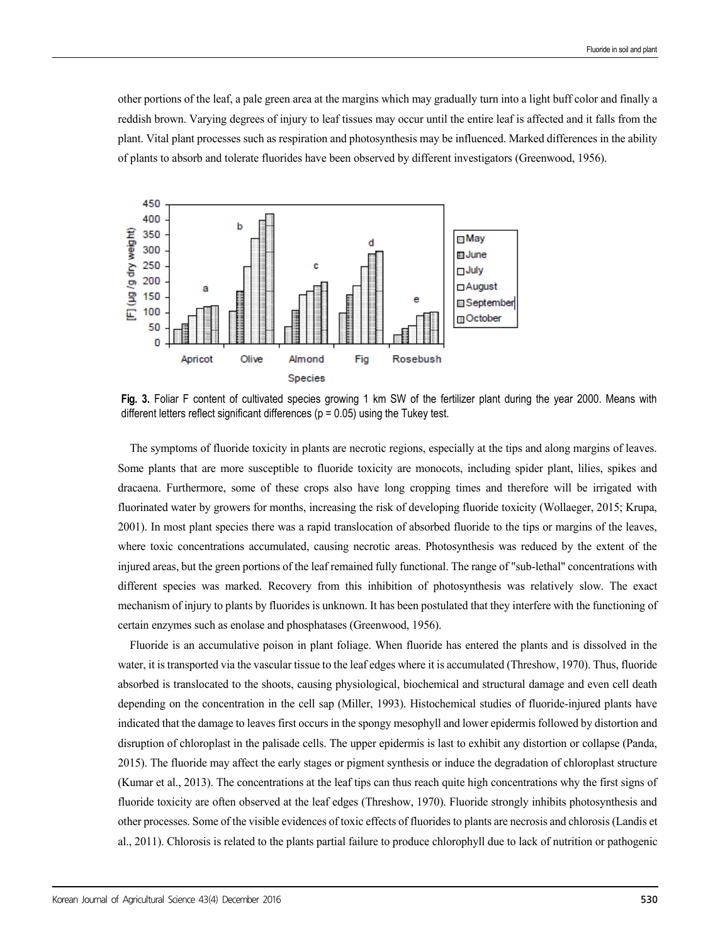other portions of the leaf, a pale green area at the margins which may gradually turn into a light buff color and finally a reddish brown. Varying degrees of injury to leaf tissues may occur until the entire leaf is affected and it falls from the plant. Vital plant processes such as respiration and photosynthesis may be influenced. Marked differences in the ability of plants to absorb and tolerate fluorides have been observed by different investigators (Greenwood, 1956).



**Fig. 3.** Foliar F content of cultivated species growing 1 km SW of the fertilizer plant during the year 2000. Means with different letters reflect significant differences ( $p = 0.05$ ) using the Tukey test.

The symptoms of fluoride toxicity in plants are necrotic regions, especially at the tips and along margins of leaves. Some plants that are more susceptible to fluoride toxicity are monocots, including spider plant, lilies, spikes and dracaena. Furthermore, some of these crops also have long cropping times and therefore will be irrigated with fluorinated water by growers for months, increasing the risk of developing fluoride toxicity (Wollaeger, 2015; Krupa, 2001). In most plant species there was a rapid translocation of absorbed fluoride to the tips or margins of the leaves, where toxic concentrations accumulated, causing necrotic areas. Photosynthesis was reduced by the extent of the injured areas, but the green portions of the leaf remained fully functional. The range of "sub-lethal" concentrations with different species was marked. Recovery from this inhibition of photosynthesis was relatively slow. The exact mechanism of injury to plants by fluorides is unknown. It has been postulated that they interfere with the functioning of certain enzymes such as enolase and phosphatases (Greenwood, 1956).

Fluoride is an accumulative poison in plant foliage. When fluoride has entered the plants and is dissolved in the water, it is transported via the vascular tissue to the leaf edges where it is accumulated (Threshow, 1970). Thus, fluoride absorbed is translocated to the shoots, causing physiological, biochemical and structural damage and even cell death depending on the concentration in the cell sap (Miller, 1993). Histochemical studies of fluoride-injured plants have indicated that the damage to leaves first occurs in the spongy mesophyll and lower epidermis followed by distortion and disruption of chloroplast in the palisade cells. The upper epidermis is last to exhibit any distortion or collapse (Panda, 2015). The fluoride may affect the early stages or pigment synthesis or induce the degradation of chloroplast structure (Kumar et al., 2013). The concentrations at the leaf tips can thus reach quite high concentrations why the first signs of fluoride toxicity are often observed at the leaf edges (Threshow, 1970). Fluoride strongly inhibits photosynthesis and other processes. Some of the visible evidences of toxic effects of fluorides to plants are necrosis and chlorosis (Landis et al., 2011). Chlorosis is related to the plants partial failure to produce chlorophyll due to lack of nutrition or pathogenic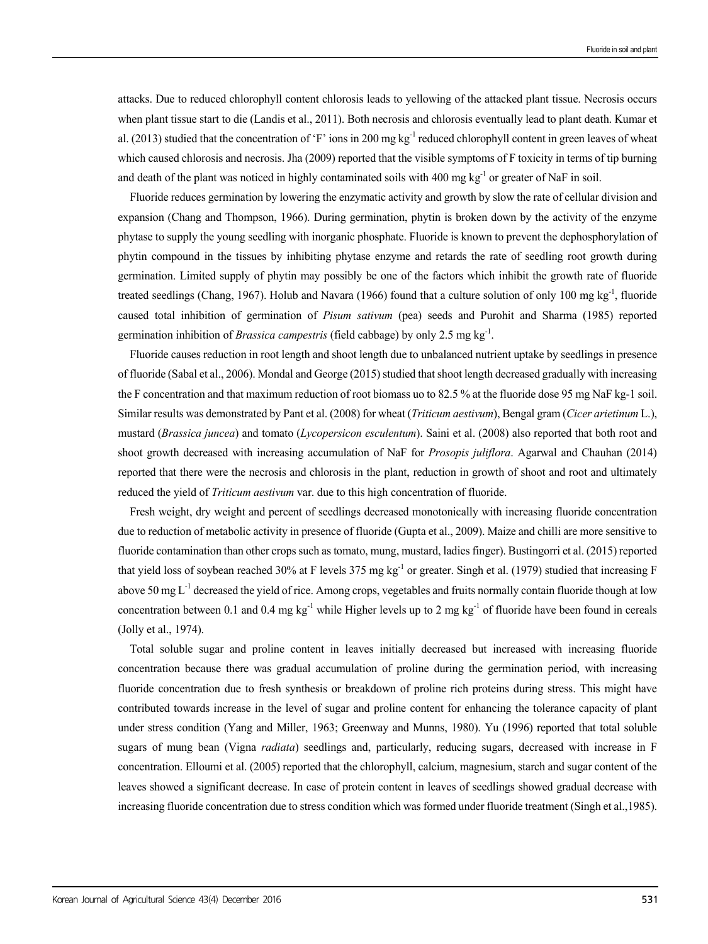attacks. Due to reduced chlorophyll content chlorosis leads to yellowing of the attacked plant tissue. Necrosis occurs when plant tissue start to die (Landis et al., 2011). Both necrosis and chlorosis eventually lead to plant death. Kumar et al. (2013) studied that the concentration of 'F' ions in 200 mg kg<sup>-1</sup> reduced chlorophyll content in green leaves of wheat which caused chlorosis and necrosis. Jha (2009) reported that the visible symptoms of F toxicity in terms of tip burning and death of the plant was noticed in highly contaminated soils with 400 mg kg<sup>-1</sup> or greater of NaF in soil.

Fluoride reduces germination by lowering the enzymatic activity and growth by slow the rate of cellular division and expansion (Chang and Thompson, 1966). During germination, phytin is broken down by the activity of the enzyme phytase to supply the young seedling with inorganic phosphate. Fluoride is known to prevent the dephosphorylation of phytin compound in the tissues by inhibiting phytase enzyme and retards the rate of seedling root growth during germination. Limited supply of phytin may possibly be one of the factors which inhibit the growth rate of fluoride treated seedlings (Chang, 1967). Holub and Navara (1966) found that a culture solution of only 100 mg kg<sup>-1</sup>, fluoride caused total inhibition of germination of *Pisum sativum* (pea) seeds and Purohit and Sharma (1985) reported germination inhibition of *Brassica campestris* (field cabbage) by only 2.5 mg kg-1.

Fluoride causes reduction in root length and shoot length due to unbalanced nutrient uptake by seedlings in presence of fluoride (Sabal et al., 2006). Mondal and George (2015) studied that shoot length decreased gradually with increasing the F concentration and that maximum reduction of root biomass uo to 82.5 % at the fluoride dose 95 mg NaF kg-1 soil. Similar results was demonstrated by Pant et al. (2008) for wheat (*Triticum aestivum*), Bengal gram (*Cicer arietinum* L.), mustard (*Brassica juncea*) and tomato (*Lycopersicon esculentum*). Saini et al. (2008) also reported that both root and shoot growth decreased with increasing accumulation of NaF for *Prosopis juliflora*. Agarwal and Chauhan (2014) reported that there were the necrosis and chlorosis in the plant, reduction in growth of shoot and root and ultimately reduced the yield of *Triticum aestivum* var. due to this high concentration of fluoride.

Fresh weight, dry weight and percent of seedlings decreased monotonically with increasing fluoride concentration due to reduction of metabolic activity in presence of fluoride (Gupta et al., 2009). Maize and chilli are more sensitive to fluoride contamination than other crops such as tomato, mung, mustard, ladies finger). Bustingorri et al. (2015) reported that yield loss of soybean reached 30% at F levels 375 mg kg<sup>-1</sup> or greater. Singh et al. (1979) studied that increasing F above 50 mg  $L^{-1}$  decreased the yield of rice. Among crops, vegetables and fruits normally contain fluoride though at low concentration between 0.1 and 0.4 mg kg<sup>-1</sup> while Higher levels up to 2 mg kg<sup>-1</sup> of fluoride have been found in cereals (Jolly et al., 1974).

Total soluble sugar and proline content in leaves initially decreased but increased with increasing fluoride concentration because there was gradual accumulation of proline during the germination period, with increasing fluoride concentration due to fresh synthesis or breakdown of proline rich proteins during stress. This might have contributed towards increase in the level of sugar and proline content for enhancing the tolerance capacity of plant under stress condition (Yang and Miller, 1963; Greenway and Munns, 1980). Yu (1996) reported that total soluble sugars of mung bean (Vigna *radiata*) seedlings and, particularly, reducing sugars, decreased with increase in F concentration. Elloumi et al. (2005) reported that the chlorophyll, calcium, magnesium, starch and sugar content of the leaves showed a significant decrease. In case of protein content in leaves of seedlings showed gradual decrease with increasing fluoride concentration due to stress condition which was formed under fluoride treatment (Singh et al.,1985).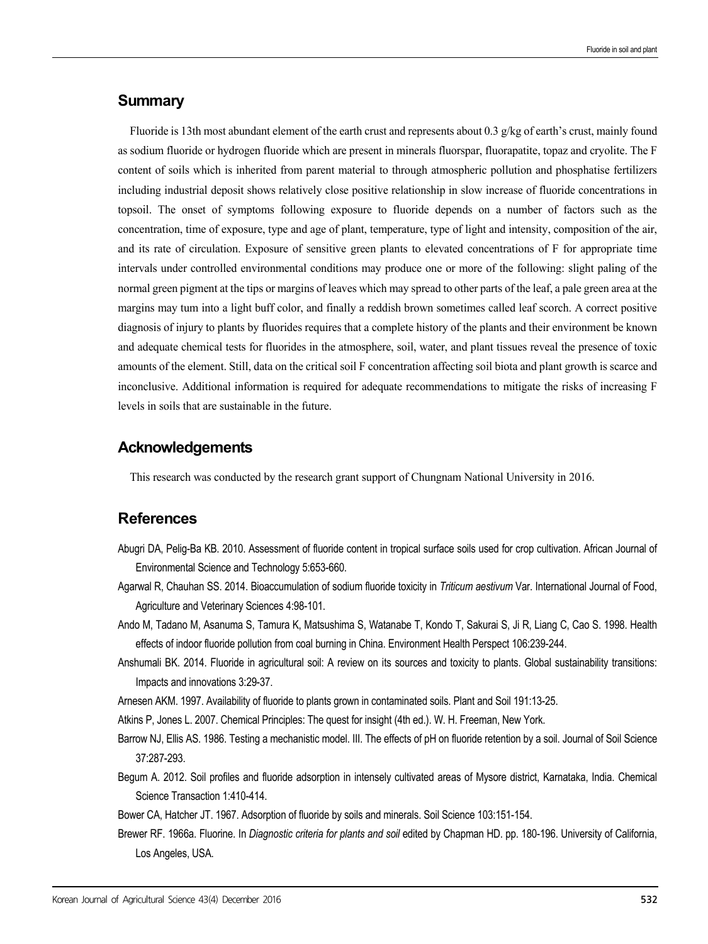## **Summary**

Fluoride is 13th most abundant element of the earth crust and represents about 0.3 g/kg of earth's crust, mainly found as sodium fluoride or hydrogen fluoride which are present in minerals fluorspar, fluorapatite, topaz and cryolite. The F content of soils which is inherited from parent material to through atmospheric pollution and phosphatise fertilizers including industrial deposit shows relatively close positive relationship in slow increase of fluoride concentrations in topsoil. The onset of symptoms following exposure to fluoride depends on a number of factors such as the concentration, time of exposure, type and age of plant, temperature, type of light and intensity, composition of the air, and its rate of circulation. Exposure of sensitive green plants to elevated concentrations of F for appropriate time intervals under controlled environmental conditions may produce one or more of the following: slight paling of the normal green pigment at the tips or margins of leaves which may spread to other parts of the leaf, a pale green area at the margins may tum into a light buff color, and finally a reddish brown sometimes called leaf scorch. A correct positive diagnosis of injury to plants by fluorides requires that a complete history of the plants and their environment be known and adequate chemical tests for fluorides in the atmosphere, soil, water, and plant tissues reveal the presence of toxic amounts of the element. Still, data on the critical soil F concentration affecting soil biota and plant growth is scarce and inconclusive. Additional information is required for adequate recommendations to mitigate the risks of increasing F levels in soils that are sustainable in the future.

# **Acknowledgements**

This research was conducted by the research grant support of Chungnam National University in 2016.

# **References**

- Abugri DA, Pelig-Ba KB. 2010. Assessment of fluoride content in tropical surface soils used for crop cultivation. African Journal of Environmental Science and Technology 5:653-660.
- Agarwal R, Chauhan SS. 2014. Bioaccumulation of sodium fluoride toxicity in *Triticum aestivum* Var. International Journal of Food, Agriculture and Veterinary Sciences 4:98-101.
- Ando M, Tadano M, Asanuma S, Tamura K, Matsushima S, Watanabe T, Kondo T, Sakurai S, Ji R, Liang C, Cao S. 1998. Health effects of indoor fluoride pollution from coal burning in China. Environment Health Perspect 106:239-244.
- Anshumali BK. 2014. Fluoride in agricultural soil: A review on its sources and toxicity to plants. Global sustainability transitions: Impacts and innovations 3:29-37.
- Arnesen AKM. 1997. Availability of fluoride to plants grown in contaminated soils. Plant and Soil 191:13-25.
- Atkins P, Jones L. 2007. Chemical Principles: The quest for insight (4th ed.). W. H. Freeman, New York.
- Barrow NJ, Ellis AS. 1986. Testing a mechanistic model. III. The effects of pH on fluoride retention by a soil. Journal of Soil Science 37:287-293.
- Begum A. 2012. Soil profiles and fluoride adsorption in intensely cultivated areas of Mysore district, Karnataka, India. Chemical Science Transaction 1:410-414.

Bower CA, Hatcher JT. 1967. Adsorption of fluoride by soils and minerals. Soil Science 103:151-154.

Brewer RF. 1966a. Fluorine. In *Diagnostic criteria for plants and soil* edited by Chapman HD. pp. 180-196. University of California, Los Angeles, USA.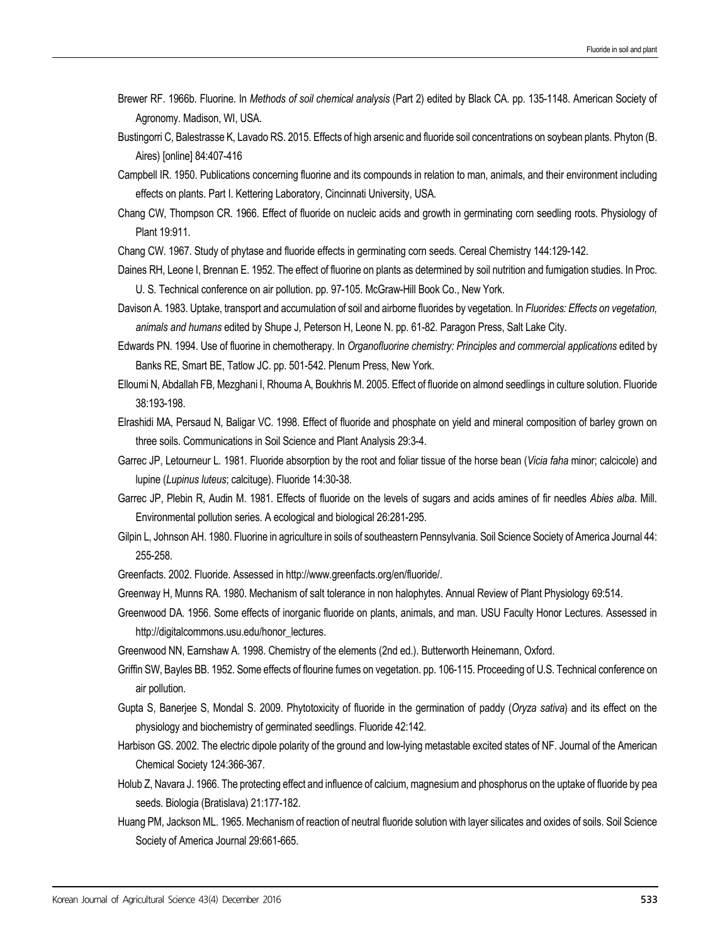- Brewer RF. 1966b. Fluorine. In *Methods of soil chemical analysis* (Part 2) edited by Black CA. pp. 135-1148. American Society of Agronomy. Madison, WI, USA.
- Bustingorri C, Balestrasse K, Lavado RS. 2015. Effects of high arsenic and fluoride soil concentrations on soybean plants. Phyton (B. Aires) [online] 84:407-416
- Campbell IR. 1950. Publications concerning fluorine and its compounds in relation to man, animals, and their environment including effects on plants. Part I. Kettering Laboratory, Cincinnati University, USA.
- Chang CW, Thompson CR. 1966. Effect of fluoride on nucleic acids and growth in germinating corn seedling roots. Physiology of Plant 19:911.
- Chang CW. 1967. Study of phytase and fluoride effects in germinating corn seeds. Cereal Chemistry 144:129-142.
- Daines RH, Leone I, Brennan E. 1952. The effect of fluorine on plants as determined by soil nutrition and fumigation studies. In Proc. U. S. Technical conference on air pollution. pp. 97-105. McGraw-Hill Book Co., New York.
- Davison A. 1983. Uptake, transport and accumulation of soil and airborne fluorides by vegetation. In *Fluorides: Effects on vegetation, animals and humans* edited by Shupe J, Peterson H, Leone N. pp. 61-82. Paragon Press, Salt Lake City.
- Edwards PN. 1994. Use of fluorine in chemotherapy. In *Organofluorine chemistry: Principles and commercial applications* edited by Banks RE, Smart BE, Tatlow JC. pp. 501-542. Plenum Press, New York.
- Elloumi N, Abdallah FB, Mezghani I, Rhouma A, Boukhris M. 2005. Effect of fluoride on almond seedlings in culture solution. Fluoride 38:193-198.
- Elrashidi MA, Persaud N, Baligar VC. 1998. Effect of fluoride and phosphate on yield and mineral composition of barley grown on three soils. Communications in Soil Science and Plant Analysis 29:3-4.
- Garrec JP, Letourneur L. 1981. Fluoride absorption by the root and foliar tissue of the horse bean (*Vicia faha* minor; calcicole) and lupine (*Lupinus luteus*; calcituge). Fluoride 14:30-38.
- Garrec JP, Plebin R, Audin M. 1981. Effects of fluoride on the levels of sugars and acids amines of fir needles *Abies alba*. Mill. Environmental pollution series. A ecological and biological 26:281-295.
- Gilpin L, Johnson AH. 1980. Fluorine in agriculture in soils of southeastern Pennsylvania. Soil Science Society of America Journal 44: 255-258.
- Greenfacts. 2002. Fluoride. Assessed in http://www.greenfacts.org/en/fluoride/.
- Greenway H, Munns RA. 1980. Mechanism of salt tolerance in non halophytes. Annual Review of Plant Physiology 69:514.
- Greenwood DA. 1956. Some effects of inorganic fluoride on plants, animals, and man. USU Faculty Honor Lectures. Assessed in http://digitalcommons.usu.edu/honor\_lectures.
- Greenwood NN, Earnshaw A. 1998. Chemistry of the elements (2nd ed.). Butterworth Heinemann, Oxford.
- Griffin SW, Bayles BB. 1952. Some effects of flourine fumes on vegetation. pp. 106-115. Proceeding of U.S. Technical conference on air pollution.
- Gupta S, Banerjee S, Mondal S. 2009. Phytotoxicity of fluoride in the germination of paddy (*Oryza sativa*) and its effect on the physiology and biochemistry of germinated seedlings. Fluoride 42:142.
- Harbison GS. 2002. The electric dipole polarity of the ground and low-lying metastable excited states of NF. Journal of the American Chemical Society 124:366-367.
- Holub Z, Navara J. 1966. The protecting effect and influence of calcium, magnesium and phosphorus on the uptake of fluoride by pea seeds. Biologia (Bratislava) 21:177-182.
- Huang PM, Jackson ML. 1965. Mechanism of reaction of neutral fluoride solution with layer silicates and oxides of soils. Soil Science Society of America Journal 29:661-665.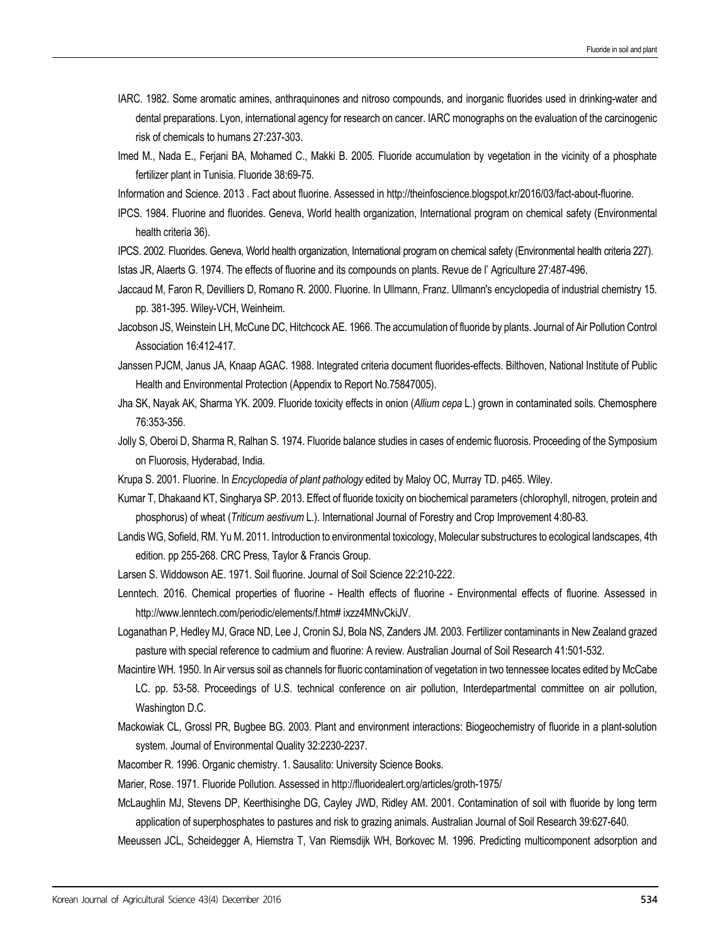- IARC. 1982. Some aromatic amines, anthraquinones and nitroso compounds, and inorganic fluorides used in drinking-water and dental preparations. Lyon, international agency for research on cancer. IARC monographs on the evaluation of the carcinogenic risk of chemicals to humans 27:237-303.
- Imed M., Nada E., Ferjani BA, Mohamed C., Makki B. 2005. Fluoride accumulation by vegetation in the vicinity of a phosphate fertilizer plant in Tunisia. Fluoride 38:69-75.
- Information and Science. 2013 . Fact about fluorine. Assessed in http://theinfoscience.blogspot.kr/2016/03/fact-about-fluorine.
- IPCS. 1984. Fluorine and fluorides. Geneva, World health organization, International program on chemical safety (Environmental health criteria 36).
- IPCS. 2002. Fluorides. Geneva, World health organization, International program on chemical safety (Environmental health criteria 227). Istas JR, Alaerts G. 1974. The effects of fluorine and its compounds on plants. Revue de l' Agriculture 27:487-496.
- Jaccaud M, Faron R, Devilliers D, Romano R. 2000. Fluorine. In Ullmann, Franz. Ullmann's encyclopedia of industrial chemistry 15. pp. 381-395. Wiley-VCH, Weinheim.
- Jacobson JS, Weinstein LH, McCune DC, Hitchcock AE. 1966. The accumulation of fluoride by plants. Journal of Air Pollution Control Association 16:412-417.
- Janssen PJCM, Janus JA, Knaap AGAC. 1988. Integrated criteria document fluorides-effects. Bilthoven, National Institute of Public Health and Environmental Protection (Appendix to Report No.75847005).
- Jha SK, Nayak AK, Sharma YK. 2009. Fluoride toxicity effects in onion (*Allium cepa* L.) grown in contaminated soils. Chemosphere 76:353-356.
- Jolly S, Oberoi D, Sharma R, Ralhan S. 1974. Fluoride balance studies in cases of endemic fluorosis. Proceeding of the Symposium on Fluorosis, Hyderabad, India.
- Krupa S. 2001. Fluorine. In *Encyclopedia of plant pathology* edited by Maloy OC, Murray TD. p465. Wiley.
- Kumar T, Dhakaand KT, Singharya SP. 2013. Effect of fluoride toxicity on biochemical parameters (chlorophyll, nitrogen, protein and phosphorus) of wheat (*Triticum aestivum* L.). International Journal of Forestry and Crop Improvement 4:80-83.
- Landis WG, Sofield, RM. Yu M. 2011. Introduction to environmental toxicology, Molecular substructures to ecological landscapes, 4th edition. pp 255-268. CRC Press, Taylor & Francis Group.
- Larsen S. Widdowson AE. 1971. Soil fluorine. Journal of Soil Science 22:210-222.
- Lenntech. 2016. Chemical properties of fluorine Health effects of fluorine Environmental effects of fluorine. Assessed in http://www.lenntech.com/periodic/elements/f.htm# ixzz4MNvCkiJV.
- Loganathan P, Hedley MJ, Grace ND, Lee J, Cronin SJ, Bola NS, Zanders JM. 2003. Fertilizer contaminants in New Zealand grazed pasture with special reference to cadmium and fluorine: A review. Australian Journal of Soil Research 41:501-532.
- Macintire WH. 1950. In Air versus soil as channels for fluoric contamination of vegetation in two tennessee locates edited by McCabe LC. pp. 53-58. Proceedings of U.S. technical conference on air pollution, Interdepartmental committee on air pollution, Washington D.C.
- Mackowiak CL, Grossl PR, Bugbee BG. 2003. Plant and environment interactions: Biogeochemistry of fluoride in a plant-solution system. Journal of Environmental Quality 32:2230-2237.
- Macomber R. 1996. Organic chemistry. 1. Sausalito: University Science Books.
- Marier, Rose. 1971. Fluoride Pollution. Assessed in http://fluoridealert.org/articles/groth-1975/
- McLaughlin MJ, Stevens DP, Keerthisinghe DG, Cayley JWD, Ridley AM. 2001. Contamination of soil with fluoride by long term application of superphosphates to pastures and risk to grazing animals. Australian Journal of Soil Research 39:627-640.
- Meeussen JCL, Scheidegger A, Hiemstra T, Van Riemsdijk WH, Borkovec M. 1996. Predicting multicomponent adsorption and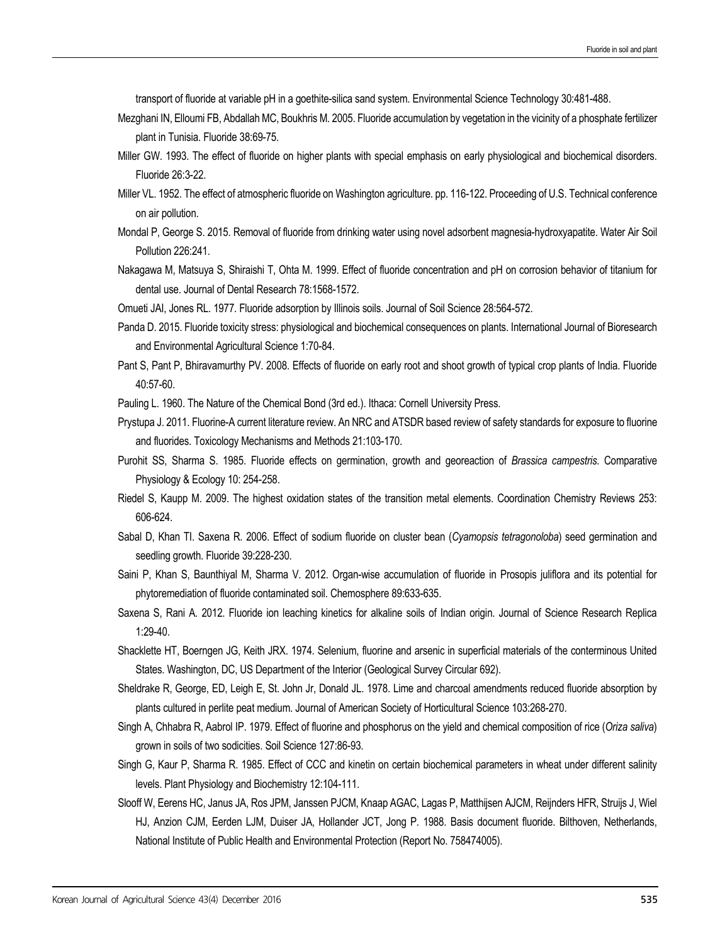transport of fluoride at variable pH in a goethite-silica sand system. Environmental Science Technology 30:481-488.

- Mezghani IN, Elloumi FB, Abdallah MC, Boukhris M. 2005. Fluoride accumulation by vegetation in the vicinity of a phosphate fertilizer plant in Tunisia. Fluoride 38:69-75.
- Miller GW. 1993. The effect of fluoride on higher plants with special emphasis on early physiological and biochemical disorders. Fluoride 26:3-22.
- Miller VL. 1952. The effect of atmospheric fluoride on Washington agriculture. pp. 116-122. Proceeding of U.S. Technical conference on air pollution.
- Mondal P, George S. 2015. Removal of fluoride from drinking water using novel adsorbent magnesia-hydroxyapatite. Water Air Soil Pollution 226:241.
- Nakagawa M, Matsuya S, Shiraishi T, Ohta M. 1999. Effect of fluoride concentration and pH on corrosion behavior of titanium for dental use. Journal of Dental Research 78:1568-1572.
- Omueti JAI, Jones RL. 1977. Fluoride adsorption by Illinois soils. Journal of Soil Science 28:564-572.
- Panda D. 2015. Fluoride toxicity stress: physiological and biochemical consequences on plants. International Journal of Bioresearch and Environmental Agricultural Science 1:70-84.
- Pant S, Pant P, Bhiravamurthy PV. 2008. Effects of fluoride on early root and shoot growth of typical crop plants of India. Fluoride 40:57-60.
- Pauling L. 1960. The Nature of the Chemical Bond (3rd ed.). Ithaca: Cornell University Press.
- Prystupa J. 2011. Fluorine-A current literature review. An NRC and ATSDR based review of safety standards for exposure to fluorine and fluorides. Toxicology Mechanisms and Methods 21:103-170.
- Purohit SS, Sharma S. 1985. Fluoride effects on germination, growth and georeaction of *Brassica campestris*. Comparative Physiology & Ecology 10: 254-258.
- Riedel S, Kaupp M. 2009. The highest oxidation states of the transition metal elements. Coordination Chemistry Reviews 253: 606-624.
- Sabal D, Khan TI. Saxena R. 2006. Effect of sodium fluoride on cluster bean (*Cyamopsis tetragonoloba*) seed germination and seedling growth. Fluoride 39:228-230.
- Saini P, Khan S, Baunthiyal M, Sharma V. 2012. Organ-wise accumulation of fluoride in Prosopis juliflora and its potential for phytoremediation of fluoride contaminated soil. Chemosphere 89:633-635.
- Saxena S, Rani A. 2012. Fluoride ion leaching kinetics for alkaline soils of Indian origin. Journal of Science Research Replica 1:29-40.
- Shacklette HT, Boerngen JG, Keith JRX. 1974. Selenium, fluorine and arsenic in superficial materials of the conterminous United States. Washington, DC, US Department of the Interior (Geological Survey Circular 692).
- Sheldrake R, George, ED, Leigh E, St. John Jr, Donald JL. 1978. Lime and charcoal amendments reduced fluoride absorption by plants cultured in perlite peat medium. Journal of American Society of Horticultural Science 103:268-270.
- Singh A, Chhabra R, Aabrol IP. 1979. Effect of fluorine and phosphorus on the yield and chemical composition of rice (*Oriza saliva*) grown in soils of two sodicities. Soil Science 127:86-93.
- Singh G, Kaur P, Sharma R. 1985. Effect of CCC and kinetin on certain biochemical parameters in wheat under different salinity levels. Plant Physiology and Biochemistry 12:104-111.
- Slooff W, Eerens HC, Janus JA, Ros JPM, Janssen PJCM, Knaap AGAC, Lagas P, Matthijsen AJCM, Reijnders HFR, Struijs J, Wiel HJ, Anzion CJM, Eerden LJM, Duiser JA, Hollander JCT, Jong P. 1988. Basis document fluoride. Bilthoven, Netherlands, National Institute of Public Health and Environmental Protection (Report No. 758474005).